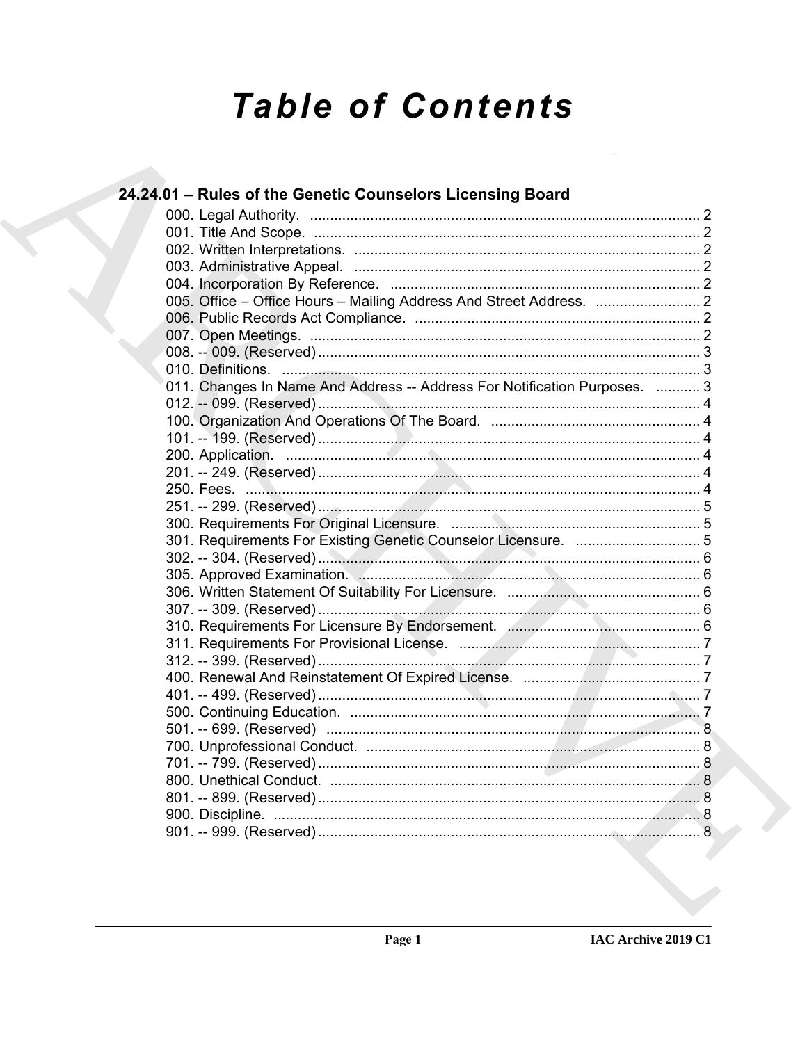# **Table of Contents**

| 24.24.01 - Rules of the Genetic Counselors Licensing Board                |  |
|---------------------------------------------------------------------------|--|
|                                                                           |  |
|                                                                           |  |
|                                                                           |  |
|                                                                           |  |
|                                                                           |  |
|                                                                           |  |
|                                                                           |  |
|                                                                           |  |
|                                                                           |  |
|                                                                           |  |
| 011. Changes In Name And Address -- Address For Notification Purposes.  3 |  |
|                                                                           |  |
|                                                                           |  |
|                                                                           |  |
|                                                                           |  |
|                                                                           |  |
|                                                                           |  |
|                                                                           |  |
|                                                                           |  |
|                                                                           |  |
|                                                                           |  |
|                                                                           |  |
|                                                                           |  |
|                                                                           |  |
|                                                                           |  |
|                                                                           |  |
|                                                                           |  |
|                                                                           |  |
|                                                                           |  |
|                                                                           |  |
|                                                                           |  |
|                                                                           |  |
|                                                                           |  |
|                                                                           |  |
|                                                                           |  |
|                                                                           |  |
|                                                                           |  |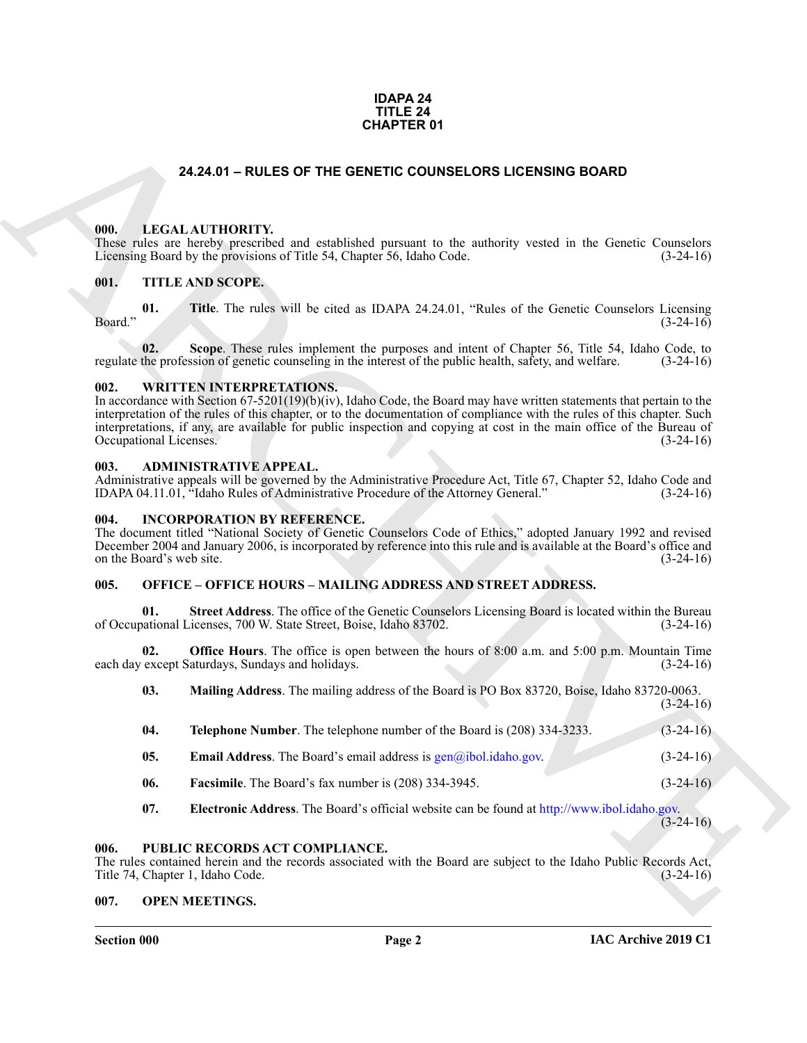# **IDAPA 24 TITLE 24 CHAPTER 01**

# **24.24.01 – RULES OF THE GENETIC COUNSELORS LICENSING BOARD**

# <span id="page-1-11"></span><span id="page-1-1"></span><span id="page-1-0"></span>**000. LEGAL AUTHORITY.**

These rules are hereby prescribed and established pursuant to the authority vested in the Genetic Counselors Licensing Board by the provisions of Title 54, Chapter 56, Idaho Code. (3-24-16)

# <span id="page-1-15"></span><span id="page-1-2"></span>**001. TITLE AND SCOPE.**

**01.** Title. The rules will be cited as IDAPA 24.24.01, "Rules of the Genetic Counselors Licensing (3-24-16)  $\beta$ Board."  $(3-24-16)$ 

**02.** Scope. These rules implement the purposes and intent of Chapter 56, Title 54, Idaho Code, to the profession of genetic counseling in the interest of the public health, safety, and welfare. (3-24-16) regulate the profession of genetic counseling in the interest of the public health, safety, and welfare.

# <span id="page-1-16"></span><span id="page-1-3"></span>**002. WRITTEN INTERPRETATIONS.**

**24.24.01 – RULES OF THE GENETIC COUNSELORS LICENSING BOARD<br>
1991.** LECAL AUTIDONITY and enablised pensary to the subset y-send in the Genetic Counsiliers<br>
1991. THE KNISSCOPE.<br>
1991. THE KNISSCOPE.<br>
1991. THE KNISSCOPE.<br> In accordance with Section 67-5201(19)(b)(iv), Idaho Code, the Board may have written statements that pertain to the interpretation of the rules of this chapter, or to the documentation of compliance with the rules of this chapter. Such interpretations, if any, are available for public inspection and copying at cost in the main office of the Bureau of Occupational Licenses. (3-24-16)

# <span id="page-1-9"></span><span id="page-1-4"></span>**003. ADMINISTRATIVE APPEAL.**

Administrative appeals will be governed by the Administrative Procedure Act, Title 67, Chapter 52, Idaho Code and IDAPA 04.11.01, "Idaho Rules of Administrative Procedure of the Attorney General." (3-24-16)

# <span id="page-1-10"></span><span id="page-1-5"></span>**004. INCORPORATION BY REFERENCE.**

The document titled "National Society of Genetic Counselors Code of Ethics," adopted January 1992 and revised December 2004 and January 2006, is incorporated by reference into this rule and is available at the Board's office and on the Board's web site. (3-24-16)

# <span id="page-1-12"></span><span id="page-1-6"></span>**005. OFFICE – OFFICE HOURS – MAILING ADDRESS AND STREET ADDRESS.**

**Street Address**. The office of the Genetic Counselors Licensing Board is located within the Bureau of Occupational Licenses, 700 W. State Street, Boise, Idaho 83702. (3-24-16)

**02. Office Hours**. The office is open between the hours of 8:00 a.m. and 5:00 p.m. Mountain Time except Saturdays, Sundays and holidays. (3-24-16) each day except Saturdays, Sundays and holidays.

| 03. | Mailing Address. The mailing address of the Board is PO Box 83720, Boise, Idaho 83720-0063. |  |  |  |             |
|-----|---------------------------------------------------------------------------------------------|--|--|--|-------------|
|     |                                                                                             |  |  |  | $(3-24-16)$ |

| 04.            | Telephone Number. The telephone number of the Board is (208) 334-3233.    | $(3-24-16)$ |
|----------------|---------------------------------------------------------------------------|-------------|
| 0 <sub>5</sub> | <b>Email Address.</b> The Board's email address is $gen@ibol.idaho.gov$ . | $(3-24-16)$ |
|                |                                                                           |             |

- **06. Facsimile**. The Board's fax number is (208) 334-3945. (3-24-16)
- <span id="page-1-14"></span>**07. Electronic Address**. The Board's official website can be found at http://www.ibol.idaho.gov.  $(3-24-16)$

# <span id="page-1-7"></span>**006. PUBLIC RECORDS ACT COMPLIANCE.**

The rules contained herein and the records associated with the Board are subject to the Idaho Public Records Act, Title 74, Chapter 1, Idaho Code. (3-24-16)

# <span id="page-1-13"></span><span id="page-1-8"></span>**007. OPEN MEETINGS.**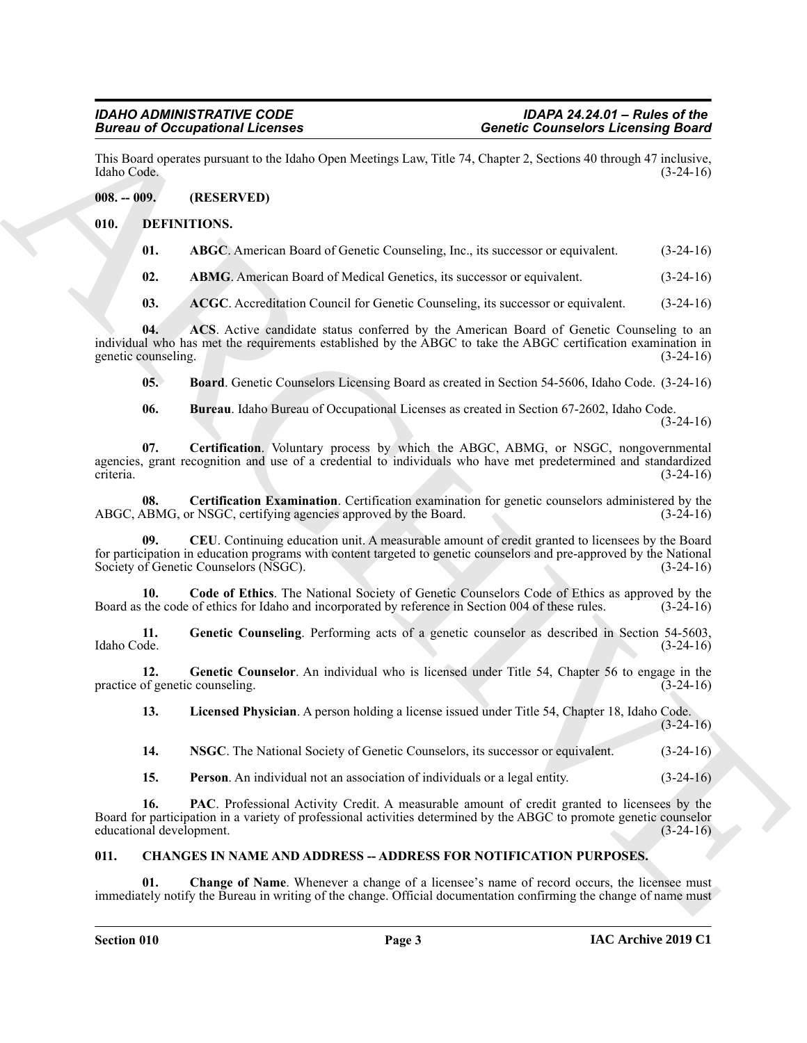This Board operates pursuant to the Idaho Open Meetings Law, Title 74, Chapter 2, Sections 40 through 47 inclusive, Idaho Code. (3-24-16)

# <span id="page-2-0"></span>**008. -- 009. (RESERVED)**

# <span id="page-2-1"></span>**010. DEFINITIONS.**

<span id="page-2-6"></span><span id="page-2-5"></span>

| 01. | ABGC. American Board of Genetic Counseling, Inc., its successor or equivalent. |  |  | $(3-24-16)$ |
|-----|--------------------------------------------------------------------------------|--|--|-------------|
|-----|--------------------------------------------------------------------------------|--|--|-------------|

<span id="page-2-7"></span>**02. ABMG**. American Board of Medical Genetics, its successor or equivalent. (3-24-16)

<span id="page-2-9"></span><span id="page-2-8"></span>**03.** ACGC. Accreditation Council for Genetic Counseling, its successor or equivalent. (3-24-16)

**04. ACS**. Active candidate status conferred by the American Board of Genetic Counseling to an individual who has met the requirements established by the ABGC to take the ABGC certification examination in genetic counseling. (3-24-16)

<span id="page-2-10"></span>**05. Board**. Genetic Counselors Licensing Board as created in Section 54-5606, Idaho Code. (3-24-16)

<span id="page-2-13"></span><span id="page-2-12"></span><span id="page-2-11"></span>**06. Bureau**. Idaho Bureau of Occupational Licenses as created in Section 67-2602, Idaho Code. (3-24-16)

**Since the Control Control of Control Control Control of Control Control Control Control of Control Control Control Control Control Control Control Control Control Control Control Control Control Control Control Control C 07. Certification**. Voluntary process by which the ABGC, ABMG, or NSGC, nongovernmental agencies, grant recognition and use of a credential to individuals who have met predetermined and standardized criteria. (3-24-16)

**08.** Certification Examination. Certification examination for genetic counselors administered by the ABMG, or NSGC, certifying agencies approved by the Board. (3-24-16) ABGC, ABMG, or NSGC, certifying agencies approved by the Board.

<span id="page-2-14"></span>**09. CEU**. Continuing education unit. A measurable amount of credit granted to licensees by the Board for participation in education programs with content targeted to genetic counselors and pre-approved by the National Society of Genetic Counselors (NSGC). (3-24-16)

<span id="page-2-15"></span>**10.** Code of Ethics. The National Society of Genetic Counselors Code of Ethics as approved by the the code of ethics for Idaho and incorporated by reference in Section 004 of these rules. (3-24-16) Board as the code of ethics for Idaho and incorporated by reference in Section 004 of these rules.

<span id="page-2-16"></span>**11.** Genetic Counseling. Performing acts of a genetic counselor as described in Section 54-5603, Idaho Code. (3-24-16) Idaho Code. (3-24-16)

**12.** Genetic Counselor. An individual who is licensed under Title 54, Chapter 56 to engage in the of genetic counseling. (3-24-16) practice of genetic counseling.

<span id="page-2-18"></span><span id="page-2-17"></span>**13. Licensed Physician**. A person holding a license issued under Title 54, Chapter 18, Idaho Code.

 $(3-24-16)$ 

<span id="page-2-21"></span><span id="page-2-19"></span>**14. NSGC**. The National Society of Genetic Counselors, its successor or equivalent. (3-24-16)

<span id="page-2-20"></span>**15. Person**. An individual not an association of individuals or a legal entity. (3-24-16)

**16. PAC**. Professional Activity Credit. A measurable amount of credit granted to licensees by the Board for participation in a variety of professional activities determined by the ABGC to promote genetic counselor educational development. (3-24-16)

# <span id="page-2-3"></span><span id="page-2-2"></span>**011. CHANGES IN NAME AND ADDRESS -- ADDRESS FOR NOTIFICATION PURPOSES.**

<span id="page-2-4"></span>**Change of Name.** Whenever a change of a licensee's name of record occurs, the licensee must immediately notify the Bureau in writing of the change. Official documentation confirming the change of name must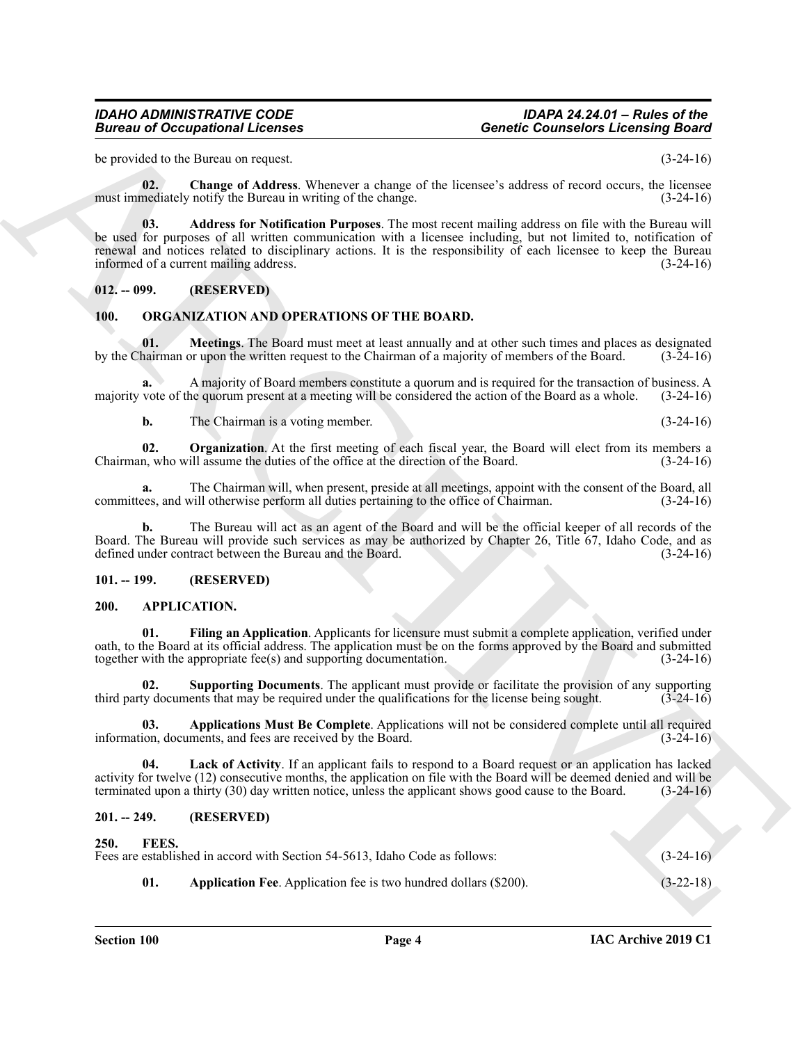# *IDAHO ADMINISTRATIVE CODE IDAPA 24.24.01 – Rules of the Bureau of Occupational Licenses Genetic Counselors Licensing Board*

be provided to the Bureau on request. (3-24-16)

<span id="page-3-12"></span>**02. Change of Address**. Whenever a change of the licensee's address of record occurs, the licensee must immediately notify the Bureau in writing of the change. (3-24-16)

<span id="page-3-11"></span>**03. Address for Notification Purposes**. The most recent mailing address on file with the Bureau will be used for purposes of all written communication with a licensee including, but not limited to, notification of renewal and notices related to disciplinary actions. It is the responsibility of each licensee to keep the Bureau informed of a current mailing address. (3-24-16)

# <span id="page-3-0"></span>**012. -- 099. (RESERVED)**

# <span id="page-3-16"></span><span id="page-3-15"></span><span id="page-3-1"></span>**100. ORGANIZATION AND OPERATIONS OF THE BOARD.**

**01. Meetings**. The Board must meet at least annually and at other such times and places as designated by the Chairman or upon the written request to the Chairman of a majority of members of the Board. (3-24-16)

**a.** A majority of Board members constitute a quorum and is required for the transaction of business. A majority vote of the quorum present at a meeting will be considered the action of the Board as a whole. (3-24-16)

<span id="page-3-17"></span>**b.** The Chairman is a voting member. (3-24-16)

**02. Organization**. At the first meeting of each fiscal year, the Board will elect from its members a Chairman, who will assume the duties of the office at the direction of the Board. (3-24-16)

**a.** The Chairman will, when present, preside at all meetings, appoint with the consent of the Board, all committees, and will otherwise perform all duties pertaining to the office of Chairman. (3-24-16)

**b.** The Bureau will act as an agent of the Board and will be the official keeper of all records of the Board. The Bureau will provide such services as may be authorized by Chapter 26, Title 67, Idaho Code, and as defined under contract between the Bureau and the Board. (3-24-16)

# <span id="page-3-2"></span>**101. -- 199. (RESERVED)**

# <span id="page-3-6"></span><span id="page-3-3"></span>**200. APPLICATION.**

<span id="page-3-8"></span>**01. Filing an Application**. Applicants for licensure must submit a complete application, verified under oath, to the Board at its official address. The application must be on the forms approved by the Board and submitted together with the appropriate fee(s) and supporting documentation. (3-24-16)

<span id="page-3-10"></span>**02. Supporting Documents**. The applicant must provide or facilitate the provision of any supporting third party documents that may be required under the qualifications for the license being sought. (3-24-16)

<span id="page-3-7"></span>**03. Applications Must Be Complete**. Applications will not be considered complete until all required information, documents, and fees are received by the Board. (3-24-16)

<span id="page-3-9"></span>**04. Lack of Activity**. If an applicant fails to respond to a Board request or an application has lacked activity for twelve (12) consecutive months, the application on file with the Board will be deemed denied and will be terminated upon a thirty (30) day written notice, unless the applicant shows good cause to the Board. (3-24-16)

# <span id="page-3-14"></span><span id="page-3-13"></span><span id="page-3-5"></span><span id="page-3-4"></span>**201. -- 249. (RESERVED)**

# Given to Occupational Licensies<br>
space of the license of the license of the contribute License in the space of the space of the space of the space of the space of the space of the space of the space of the space of the sp **250. FEES.** Fees are established in accord with Section 54-5613, Idaho Code as follows: (3-24-16) **01. Application Fee**. Application fee is two hundred dollars (\$200). (3-22-18)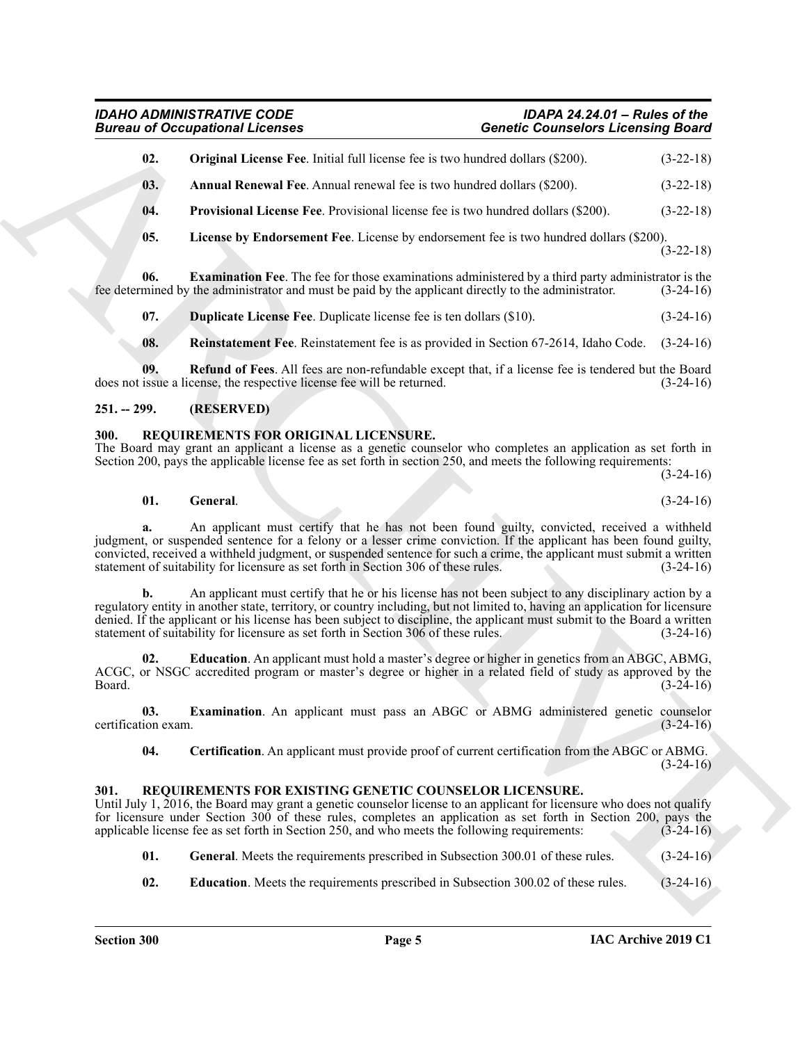# <span id="page-4-8"></span><span id="page-4-7"></span><span id="page-4-6"></span><span id="page-4-3"></span>*IDAHO ADMINISTRATIVE CODE IDAPA 24.24.01 – Rules of the Bureau of Occupational Licenses Genetic Counselors Licensing Board*

|                             | <b>Bureau of Occupational Licenses</b>                                                                                                                                                                                                                                                                                                                                                                                                                  | <b>Genetic Counselors Licensing Board</b> |  |  |  |
|-----------------------------|---------------------------------------------------------------------------------------------------------------------------------------------------------------------------------------------------------------------------------------------------------------------------------------------------------------------------------------------------------------------------------------------------------------------------------------------------------|-------------------------------------------|--|--|--|
| 02.                         | <b>Original License Fee.</b> Initial full license fee is two hundred dollars (\$200).                                                                                                                                                                                                                                                                                                                                                                   | $(3-22-18)$                               |  |  |  |
| 03.                         | <b>Annual Renewal Fee.</b> Annual renewal fee is two hundred dollars (\$200).                                                                                                                                                                                                                                                                                                                                                                           | $(3-22-18)$                               |  |  |  |
| 04.                         | <b>Provisional License Fee.</b> Provisional license fee is two hundred dollars (\$200).                                                                                                                                                                                                                                                                                                                                                                 | $(3-22-18)$                               |  |  |  |
| 05.                         | License by Endorsement Fee. License by endorsement fee is two hundred dollars (\$200).                                                                                                                                                                                                                                                                                                                                                                  | $(3-22-18)$                               |  |  |  |
| 06.                         | <b>Examination Fee.</b> The fee for those examinations administered by a third party administrator is the<br>fee determined by the administrator and must be paid by the applicant directly to the administrator.                                                                                                                                                                                                                                       | $(3-24-16)$                               |  |  |  |
| 07.                         | <b>Duplicate License Fee.</b> Duplicate license fee is ten dollars (\$10).                                                                                                                                                                                                                                                                                                                                                                              | $(3-24-16)$                               |  |  |  |
| 08.                         | <b>Reinstatement Fee.</b> Reinstatement fee is as provided in Section 67-2614, Idaho Code. (3-24-16)                                                                                                                                                                                                                                                                                                                                                    |                                           |  |  |  |
| 09.                         | Refund of Fees. All fees are non-refundable except that, if a license fee is tendered but the Board<br>does not issue a license, the respective license fee will be returned.                                                                                                                                                                                                                                                                           | $(3-24-16)$                               |  |  |  |
| $251. - 299.$               | (RESERVED)                                                                                                                                                                                                                                                                                                                                                                                                                                              |                                           |  |  |  |
| 300.                        | REQUIREMENTS FOR ORIGINAL LICENSURE.<br>The Board may grant an applicant a license as a genetic counselor who completes an application as set forth in<br>Section 200, pays the applicable license fee as set forth in section 250, and meets the following requirements:                                                                                                                                                                               | $(3-24-16)$                               |  |  |  |
| 01.                         | General.                                                                                                                                                                                                                                                                                                                                                                                                                                                | $(3-24-16)$                               |  |  |  |
|                             | An applicant must certify that he has not been found guilty, convicted, received a withheld<br>judgment, or suspended sentence for a felony or a lesser crime conviction. If the applicant has been found guilty,<br>convicted, received a withheld judgment, or suspended sentence for such a crime, the applicant must submit a written<br>statement of suitability for licensure as set forth in Section 306 of these rules.                         | $(3-24-16)$                               |  |  |  |
| b.                          | An applicant must certify that he or his license has not been subject to any disciplinary action by a<br>regulatory entity in another state, territory, or country including, but not limited to, having an application for licensure<br>denied. If the applicant or his license has been subject to discipline, the applicant must submit to the Board a written<br>statement of suitability for licensure as set forth in Section 306 of these rules. | $(3-24-16)$                               |  |  |  |
| 02.<br>Board.               | <b>Education</b> . An applicant must hold a master's degree or higher in genetics from an ABGC, ABMG,<br>ACGC, or NSGC accredited program or master's degree or higher in a related field of study as approved by the                                                                                                                                                                                                                                   | $(3-24-16)$                               |  |  |  |
|                             | Examination. An applicant must pass an ABGC or ABMG administered genetic counselor                                                                                                                                                                                                                                                                                                                                                                      |                                           |  |  |  |
| 03.                         |                                                                                                                                                                                                                                                                                                                                                                                                                                                         |                                           |  |  |  |
| 04.                         | Certification. An applicant must provide proof of current certification from the ABGC or ABMG.                                                                                                                                                                                                                                                                                                                                                          |                                           |  |  |  |
| certification exam.<br>301. | REQUIREMENTS FOR EXISTING GENETIC COUNSELOR LICENSURE.<br>Until July 1, 2016, the Board may grant a genetic counselor license to an applicant for licensure who does not qualify<br>for licensure under Section 300 of these rules, completes an application as set forth in Section 200, pays the<br>applicable license fee as set forth in Section 250, and who meets the following requirements:                                                     | $(3-24-16)$<br>$(3-24-16)$<br>$(3-24-16)$ |  |  |  |
| 01.                         | General. Meets the requirements prescribed in Subsection 300.01 of these rules.                                                                                                                                                                                                                                                                                                                                                                         | $(3-24-16)$                               |  |  |  |

# <span id="page-4-10"></span><span id="page-4-9"></span><span id="page-4-5"></span><span id="page-4-4"></span><span id="page-4-0"></span>**251. -- 299. (RESERVED)**

# <span id="page-4-17"></span><span id="page-4-14"></span><span id="page-4-1"></span>**300. REQUIREMENTS FOR ORIGINAL LICENSURE.**

# <span id="page-4-16"></span><span id="page-4-15"></span><span id="page-4-11"></span><span id="page-4-2"></span>**301. REQUIREMENTS FOR EXISTING GENETIC COUNSELOR LICENSURE.**

- <span id="page-4-13"></span><span id="page-4-12"></span>**01.** General. Meets the requirements prescribed in Subsection 300.01 of these rules. (3-24-16)
- **02. Education**. Meets the requirements prescribed in Subsection 300.02 of these rules. (3-24-16)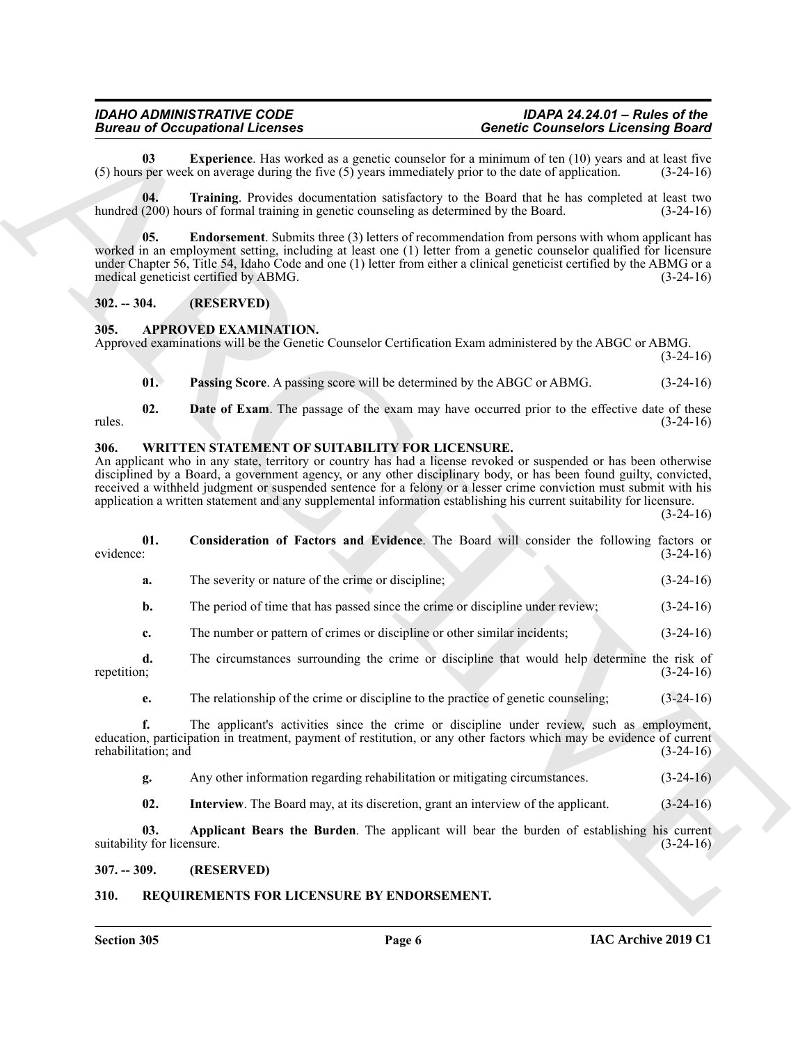<span id="page-5-9"></span>**03** Experience. Has worked as a genetic counselor for a minimum of ten (10) years and at least five sper week on average during the five (5) years immediately prior to the date of application. (3-24-16) (5) hours per week on average during the five  $(5)$  years immediately prior to the date of application.

<span id="page-5-10"></span>**04. Training**. Provides documentation satisfactory to the Board that he has completed at least two hundred (200) hours of formal training in genetic counseling as determined by the Board. (3-24-16)

<span id="page-5-8"></span>**05. Endorsement**. Submits three (3) letters of recommendation from persons with whom applicant has worked in an employment setting, including at least one (1) letter from a genetic counselor qualified for licensure under Chapter 56, Title 54, Idaho Code and one (1) letter from either a clinical geneticist certified by the ABMG or a medical geneticist certified by ABMG. (3-24-16)

# <span id="page-5-0"></span>**302. -- 304. (RESERVED)**

# <span id="page-5-5"></span><span id="page-5-1"></span>**305. APPROVED EXAMINATION.**

Approved examinations will be the Genetic Counselor Certification Exam administered by the ABGC or ABMG.

 $(3-24-16)$ 

<span id="page-5-7"></span><span id="page-5-6"></span>**01. Passing Score**. A passing score will be determined by the ABGC or ABMG. (3-24-16)

**02. Date of Exam**. The passage of the exam may have occurred prior to the effective date of these  $r_{\text{m}}$  rules.  $(3-24-16)$ 

# <span id="page-5-12"></span><span id="page-5-2"></span>**306. WRITTEN STATEMENT OF SUITABILITY FOR LICENSURE.**

<span id="page-5-14"></span>An applicant who in any state, territory or country has had a license revoked or suspended or has been otherwise disciplined by a Board, a government agency, or any other disciplinary body, or has been found guilty, convicted, received a withheld judgment or suspended sentence for a felony or a lesser crime conviction must submit with his application a written statement and any supplemental information establishing his current suitability for licensure.  $(3-24-16)$ 

**Bioreon of Conseilers and the conseiler and the system and the system of Conseiler Conseilers and the system of the system in the system in the system of the system of the system of the system of the system of the system 01.** Consideration of Factors and Evidence. The Board will consider the following factors or evidence: (3-24-16) evidence: (3-24-16) **a.** The severity or nature of the crime or discipline; (3-24-16) **b.** The period of time that has passed since the crime or discipline under review; (3-24-16) **c.** The number or pattern of crimes or discipline or other similar incidents; (3-24-16) **d.** The circumstances surrounding the crime or discipline that would help determine the risk of repetition; (3-24-16) repetition; (3-24-16) **e.** The relationship of the crime or discipline to the practice of genetic counseling; (3-24-16) **f.** The applicant's activities since the crime or discipline under review, such as employment, education, participation in treatment, payment of restitution, or any other factors which may be evidence of current rehabilitation; and (3-24-16) rehabilitation; and **g.** Any other information regarding rehabilitation or mitigating circumstances. (3-24-16) **02.** Interview. The Board may, at its discretion, grant an interview of the applicant. (3-24-16) **03. Applicant Bears the Burden**. The applicant will bear the burden of establishing his current suitability for licensure.  $(3-24-16)$ 

<span id="page-5-15"></span><span id="page-5-13"></span><span id="page-5-3"></span>**307. -- 309. (RESERVED)**

# <span id="page-5-11"></span><span id="page-5-4"></span>**310. REQUIREMENTS FOR LICENSURE BY ENDORSEMENT.**

**Section 305 Page 6**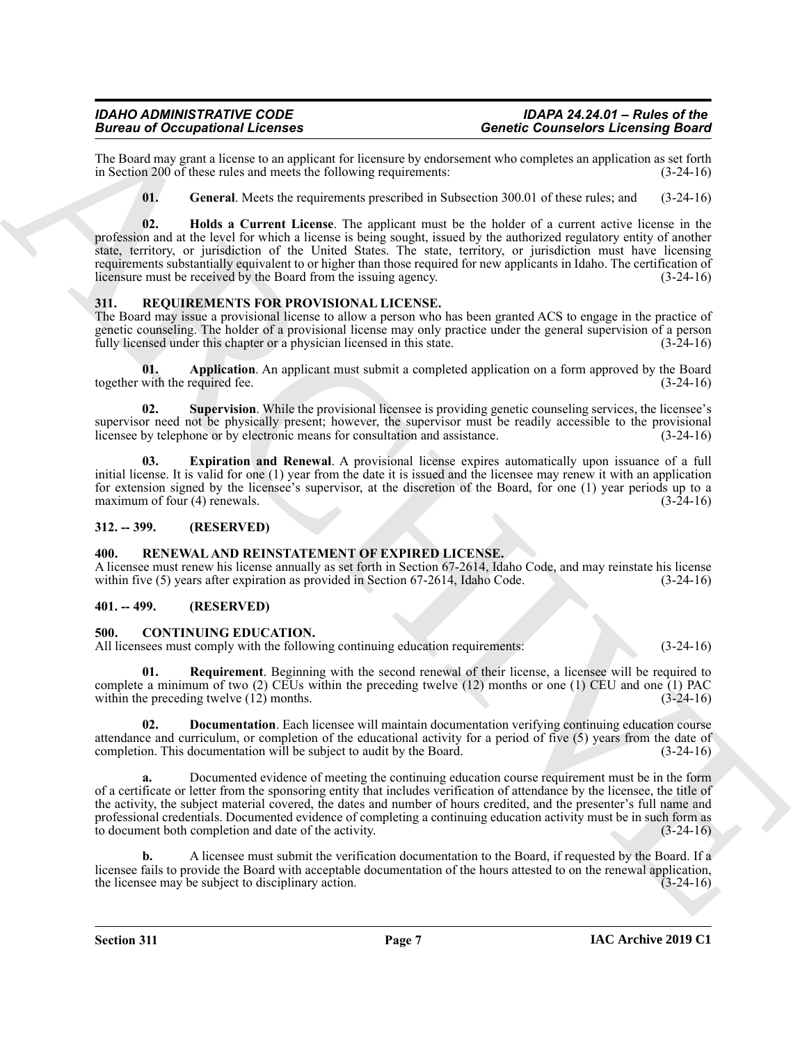The Board may grant a license to an applicant for licensure by endorsement who completes an application as set forth in Section 200 of these rules and meets the following requirements: (3-24-16) in Section 200 of these rules and meets the following requirements:

<span id="page-6-10"></span><span id="page-6-9"></span>**01. General**. Meets the requirements prescribed in Subsection 300.01 of these rules; and (3-24-16)

Becomes of Occupation Licenses<br>
The three interactions of the matter interaction of the state of the matter of the state of the state of the state of the state of the state of the state of the state of the state of the st **02. Holds a Current License**. The applicant must be the holder of a current active license in the profession and at the level for which a license is being sought, issued by the authorized regulatory entity of another state, territory, or jurisdiction of the United States. The state, territory, or jurisdiction must have licensing requirements substantially equivalent to or higher than those required for new applicants in Idaho. The certification of licensure must be received by the Board from the issuing agency. (3-24-16)

# <span id="page-6-11"></span><span id="page-6-0"></span>**311. REQUIREMENTS FOR PROVISIONAL LICENSE.**

The Board may issue a provisional license to allow a person who has been granted ACS to engage in the practice of genetic counseling. The holder of a provisional license may only practice under the general supervision of a person fully licensed under this chapter or a physician licensed in this state.  $(3-24-16)$ 

<span id="page-6-12"></span>**01. Application**. An applicant must submit a completed application on a form approved by the Board together with the required fee. (3-24-16)

<span id="page-6-14"></span>**02. Supervision**. While the provisional licensee is providing genetic counseling services, the licensee's supervisor need not be physically present; however, the supervisor must be readily accessible to the provisional licensee by telephone or by electronic means for consultation and assistance. (3-24-16) licensee by telephone or by electronic means for consultation and assistance.

<span id="page-6-13"></span>**03. Expiration and Renewal**. A provisional license expires automatically upon issuance of a full initial license. It is valid for one (1) year from the date it is issued and the licensee may renew it with an application for extension signed by the licensee's supervisor, at the discretion of the Board, for one (1) year periods up to a maximum of four (4) renewals. (3-24-16)

# <span id="page-6-1"></span>**312. -- 399. (RESERVED)**

# <span id="page-6-8"></span><span id="page-6-2"></span>**400. RENEWAL AND REINSTATEMENT OF EXPIRED LICENSE.**

A licensee must renew his license annually as set forth in Section 67-2614, Idaho Code, and may reinstate his license within five (5) years after expiration as provided in Section 67-2614, Idaho Code. (3-24-16)

# <span id="page-6-3"></span>**401. -- 499. (RESERVED)**

# <span id="page-6-5"></span><span id="page-6-4"></span>**500. CONTINUING EDUCATION.**

All licensees must comply with the following continuing education requirements: (3-24-16)

<span id="page-6-7"></span>**01. Requirement**. Beginning with the second renewal of their license, a licensee will be required to complete a minimum of two  $(2)$  CEUs within the preceding twelve  $(12)$  months or one  $(1)$  CEU and one  $(1)$  PAC within the preceding twelve (12) months. (3-24-16)

<span id="page-6-6"></span>**02. Documentation**. Each licensee will maintain documentation verifying continuing education course attendance and curriculum, or completion of the educational activity for a period of five (5) years from the date of completion. This documentation will be subject to audit by the Board. (3-24-16) completion. This documentation will be subject to audit by the Board.

**a.** Documented evidence of meeting the continuing education course requirement must be in the form of a certificate or letter from the sponsoring entity that includes verification of attendance by the licensee, the title of the activity, the subject material covered, the dates and number of hours credited, and the presenter's full name and professional credentials. Documented evidence of completing a continuing education activity must be in such form as to document both completion and date of the activity. (3-24-16)

**b.** A licensee must submit the verification documentation to the Board, if requested by the Board. If a licensee fails to provide the Board with acceptable documentation of the hours attested to on the renewal application, the licensee may be subject to disciplinary action. (3-24-16) the licensee may be subject to disciplinary action.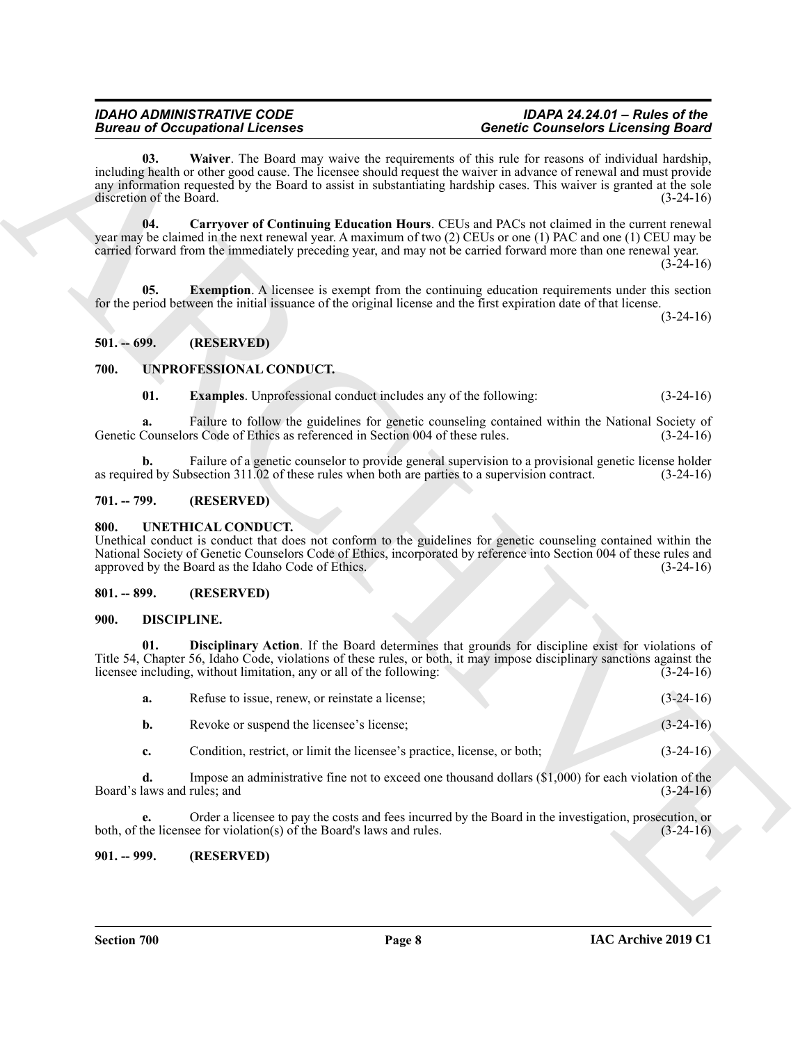# <span id="page-7-9"></span><span id="page-7-7"></span>*IDAHO ADMINISTRATIVE CODE IDAPA 24.24.01 – Rules of the Bureau of Occupational Licenses Genetic Counselors Licensing Board*

# <span id="page-7-8"></span><span id="page-7-0"></span>**501. -- 699. (RESERVED)**

# <span id="page-7-14"></span><span id="page-7-13"></span><span id="page-7-1"></span>**700. UNPROFESSIONAL CONDUCT.**

# <span id="page-7-2"></span>**701. -- 799. (RESERVED)**

# <span id="page-7-12"></span><span id="page-7-3"></span>**800. UNETHICAL CONDUCT.**

# <span id="page-7-4"></span>**801. -- 899. (RESERVED)**

# <span id="page-7-11"></span><span id="page-7-10"></span><span id="page-7-5"></span>**900. DISCIPLINE.**

|                                   | <b>Bureau of Occupational Licenses</b>                                                           | <b>Genetic Counselors Licensing Board</b>                                                                                                                                                                                                                                                                                                     |             |
|-----------------------------------|--------------------------------------------------------------------------------------------------|-----------------------------------------------------------------------------------------------------------------------------------------------------------------------------------------------------------------------------------------------------------------------------------------------------------------------------------------------|-------------|
| 03.<br>discretion of the Board.   |                                                                                                  | Waiver. The Board may waive the requirements of this rule for reasons of individual hardship,<br>including health or other good cause. The licensee should request the waiver in advance of renewal and must provide<br>any information requested by the Board to assist in substantiating hardship cases. This waiver is granted at the sole | $(3-24-16)$ |
| 04.                               |                                                                                                  | Carryover of Continuing Education Hours. CEUs and PACs not claimed in the current renewal<br>year may be claimed in the next renewal year. A maximum of two (2) CEUs or one (1) PAC and one (1) CEU may be<br>carried forward from the immediately preceding year, and may not be carried forward more than one renewal year.                 | $(3-24-16)$ |
| 05.                               |                                                                                                  | <b>Exemption.</b> A licensee is exempt from the continuing education requirements under this section<br>for the period between the initial issuance of the original license and the first expiration date of that license.                                                                                                                    | $(3-24-16)$ |
| $501. - 699.$                     | (RESERVED)                                                                                       |                                                                                                                                                                                                                                                                                                                                               |             |
| 700.                              | UNPROFESSIONAL CONDUCT.                                                                          |                                                                                                                                                                                                                                                                                                                                               |             |
| 01.                               | <b>Examples.</b> Unprofessional conduct includes any of the following:                           |                                                                                                                                                                                                                                                                                                                                               | $(3-24-16)$ |
| a.                                | Genetic Counselors Code of Ethics as referenced in Section 004 of these rules.                   | Failure to follow the guidelines for genetic counseling contained within the National Society of                                                                                                                                                                                                                                              | $(3-24-16)$ |
| b.                                | as required by Subsection 311.02 of these rules when both are parties to a supervision contract. | Failure of a genetic counselor to provide general supervision to a provisional genetic license holder                                                                                                                                                                                                                                         | $(3-24-16)$ |
| $701. - 799.$                     | (RESERVED)                                                                                       |                                                                                                                                                                                                                                                                                                                                               |             |
| 800.                              | UNETHICAL CONDUCT.<br>approved by the Board as the Idaho Code of Ethics.                         | Unethical conduct is conduct that does not conform to the guidelines for genetic counseling contained within the<br>National Society of Genetic Counselors Code of Ethics, incorporated by reference into Section 004 of these rules and                                                                                                      | $(3-24-16)$ |
| $801. - 899.$                     | (RESERVED)                                                                                       |                                                                                                                                                                                                                                                                                                                                               |             |
| 900.                              | <b>DISCIPLINE.</b>                                                                               |                                                                                                                                                                                                                                                                                                                                               |             |
| 01.                               | licensee including, without limitation, any or all of the following:                             | Disciplinary Action. If the Board determines that grounds for discipline exist for violations of<br>Title 54, Chapter 56, Idaho Code, violations of these rules, or both, it may impose disciplinary sanctions against the                                                                                                                    | $(3-24-16)$ |
| a.                                | Refuse to issue, renew, or reinstate a license;                                                  |                                                                                                                                                                                                                                                                                                                                               | $(3-24-16)$ |
| b.                                | Revoke or suspend the licensee's license;                                                        |                                                                                                                                                                                                                                                                                                                                               | $(3-24-16)$ |
| c.                                | Condition, restrict, or limit the licensee's practice, license, or both;                         |                                                                                                                                                                                                                                                                                                                                               | $(3-24-16)$ |
| d.<br>Board's laws and rules; and |                                                                                                  | Impose an administrative fine not to exceed one thousand dollars $(\$1,000)$ for each violation of the                                                                                                                                                                                                                                        | $(3-24-16)$ |
| e.                                | both, of the licensee for violation(s) of the Board's laws and rules.                            | Order a licensee to pay the costs and fees incurred by the Board in the investigation, prosecution, or                                                                                                                                                                                                                                        | $(3-24-16)$ |
|                                   |                                                                                                  |                                                                                                                                                                                                                                                                                                                                               |             |

# <span id="page-7-6"></span>**901. -- 999. (RESERVED)**